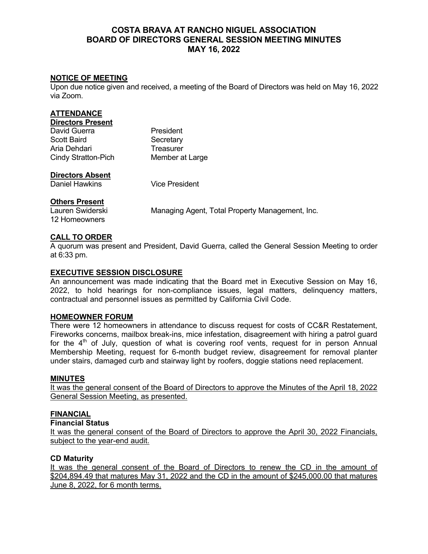# **COSTA BRAVA AT RANCHO NIGUEL ASSOCIATION BOARD OF DIRECTORS GENERAL SESSION MEETING MINUTES MAY 16, 2022**

## **NOTICE OF MEETING**

Upon due notice given and received, a meeting of the Board of Directors was held on May 16, 2022 via Zoom.

| ATTENDANCE               |                 |
|--------------------------|-----------------|
| <b>Directors Present</b> |                 |
| David Guerra             | President       |
| Scott Baird              | Secretary       |
| Aria Dehdari             | Treasurer       |
| Cindy Stratton-Pich      | Member at Large |
|                          |                 |

#### **Directors Absent**

Daniel Hawkins Vice President

## **Others Present**

12 Homeowners

Lauren Swiderski Managing Agent, Total Property Management, Inc.

## **CALL TO ORDER**

A quorum was present and President, David Guerra, called the General Session Meeting to order at 6:33 pm.

## **EXECUTIVE SESSION DISCLOSURE**

An announcement was made indicating that the Board met in Executive Session on May 16, 2022, to hold hearings for non-compliance issues, legal matters, delinquency matters, contractual and personnel issues as permitted by California Civil Code.

#### **HOMEOWNER FORUM**

There were 12 homeowners in attendance to discuss request for costs of CC&R Restatement, Fireworks concerns, mailbox break-ins, mice infestation, disagreement with hiring a patrol guard for the  $4<sup>th</sup>$  of July, question of what is covering roof vents, request for in person Annual Membership Meeting, request for 6-month budget review, disagreement for removal planter under stairs, damaged curb and stairway light by roofers, doggie stations need replacement.

#### **MINUTES**

It was the general consent of the Board of Directors to approve the Minutes of the April 18, 2022 General Session Meeting, as presented.

#### **FINANCIAL**

**Financial Status** 

It was the general consent of the Board of Directors to approve the April 30, 2022 Financials, subject to the year-end audit.

#### **CD Maturity**

It was the general consent of the Board of Directors to renew the CD in the amount of \$204,894.49 that matures May 31, 2022 and the CD in the amount of \$245,000.00 that matures June 8, 2022, for 6 month terms.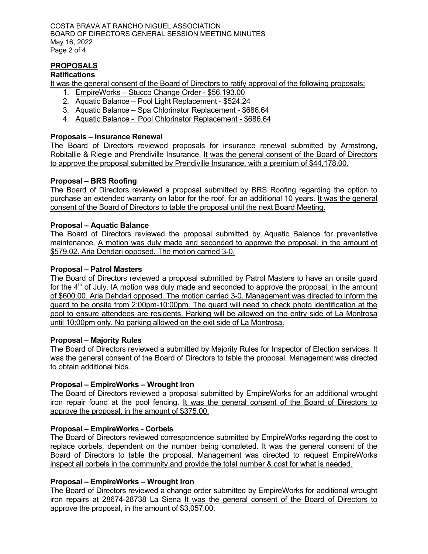COSTA BRAVA AT RANCHO NIGUEL ASSOCIATION BOARD OF DIRECTORS GENERAL SESSION MEETING MINUTES May 16, 2022 Page 2 of 4

## **PROPOSALS**

## **Ratifications**

It was the general consent of the Board of Directors to ratify approval of the following proposals:

- 1. EmpireWorks Stucco Change Order \$56,193.00
- 2. Aquatic Balance Pool Light Replacement \$524.24
- 3. Aquatic Balance Spa Chlorinator Replacement \$686.64
- 4. Aquatic Balance Pool Chlorinator Replacement \$686.64

#### **Proposals – Insurance Renewal**

The Board of Directors reviewed proposals for insurance renewal submitted by Armstrong, Robitallie & Riegle and Prendiville Insurance. It was the general consent of the Board of Directors to approve the proposal submitted by Prendiville Insurance, with a premium of \$44,178.00.

## **Proposal – BRS Roofing**

The Board of Directors reviewed a proposal submitted by BRS Roofing regarding the option to purchase an extended warranty on labor for the roof, for an additional 10 years. It was the general consent of the Board of Directors to table the proposal until the next Board Meeting.

## **Proposal – Aquatic Balance**

The Board of Directors reviewed the proposal submitted by Aquatic Balance for preventative maintenance. A motion was duly made and seconded to approve the proposal, in the amount of \$579.02. Aria Dehdari opposed. The motion carried 3-0.

## **Proposal – Patrol Masters**

The Board of Directors reviewed a proposal submitted by Patrol Masters to have an onsite guard for the  $4<sup>th</sup>$  of July. IA motion was duly made and seconded to approve the proposal, in the amount of \$600.00. Aria Dehdari opposed. The motion carried 3-0. Management was directed to inform the guard to be onsite from 2:00pm-10:00pm. The guard will need to check photo identification at the pool to ensure attendees are residents. Parking will be allowed on the entry side of La Montrosa until 10:00pm only. No parking allowed on the exit side of La Montrosa.

#### **Proposal – Majority Rules**

The Board of Directors reviewed a submitted by Majority Rules for Inspector of Election services. It was the general consent of the Board of Directors to table the proposal. Management was directed to obtain additional bids.

#### **Proposal – EmpireWorks – Wrought Iron**

The Board of Directors reviewed a proposal submitted by EmpireWorks for an additional wrought iron repair found at the pool fencing. It was the general consent of the Board of Directors to approve the proposal, in the amount of \$375.00.

#### **Proposal – EmpireWorks - Corbels**

The Board of Directors reviewed correspondence submitted by EmpireWorks regarding the cost to replace corbels, dependent on the number being completed. It was the general consent of the Board of Directors to table the proposal. Management was directed to request EmpireWorks inspect all corbels in the community and provide the total number & cost for what is needed.

## **Proposal – EmpireWorks – Wrought Iron**

The Board of Directors reviewed a change order submitted by EmpireWorks for additional wrought iron repairs at 28674-28738 La Siena It was the general consent of the Board of Directors to approve the proposal, in the amount of \$3,057.00.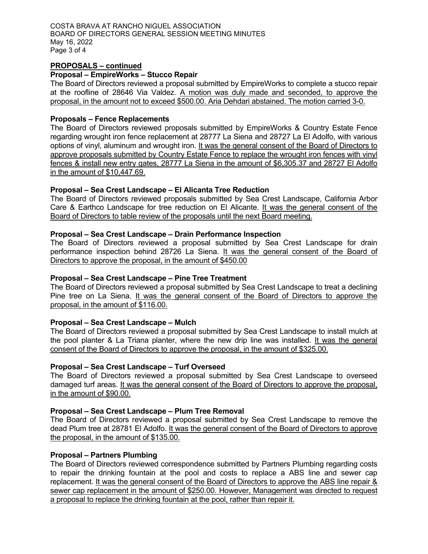COSTA BRAVA AT RANCHO NIGUEL ASSOCIATION BOARD OF DIRECTORS GENERAL SESSION MEETING MINUTES May 16, 2022 Page 3 of 4

#### **PROPOSALS – continued**

#### **Proposal – EmpireWorks – Stucco Repair**

The Board of Directors reviewed a proposal submitted by EmpireWorks to complete a stucco repair at the roofline of 28646 Via Valdez.  $\underline{A}$  motion was duly made and seconded, to approve the proposal, in the amount not to exceed \$500.00. Aria Dehdari abstained. The motion carried 3-0.

#### **Proposals – Fence Replacements**

The Board of Directors reviewed proposals submitted by EmpireWorks & Country Estate Fence regarding wrought iron fence replacement at 28777 La Siena and 28727 La El Adolfo, with various options of vinyl, aluminum and wrought iron. It was the general consent of the Board of Directors to approve proposals submitted by Country Estate Fence to replace the wrought iron fences with vinyl fences & install new entry gates, 28777 La Siena in the amount of \$6,305.37 and 28727 El Adolfo in the amount of \$10,447.69.

#### **Proposal – Sea Crest Landscape – El Alicanta Tree Reduction**

The Board of Directors reviewed proposals submitted by Sea Crest Landscape, California Arbor Care & Earthco Landscape for tree reduction on El Alicante. It was the general consent of the Board of Directors to table review of the proposals until the next Board meeting.

#### **Proposal – Sea Crest Landscape – Drain Performance Inspection**

The Board of Directors reviewed a proposal submitted by Sea Crest Landscape for drain performance inspection behind 28726 La Siena. It was the general consent of the Board of Directors to approve the proposal, in the amount of \$450.00

#### **Proposal – Sea Crest Landscape – Pine Tree Treatment**

The Board of Directors reviewed a proposal submitted by Sea Crest Landscape to treat a declining Pine tree on La Siena. It was the general consent of the Board of Directors to approve the proposal, in the amount of \$116.00.

#### **Proposal – Sea Crest Landscape – Mulch**

The Board of Directors reviewed a proposal submitted by Sea Crest Landscape to install mulch at the pool planter & La Triana planter, where the new drip line was installed. It was the general consent of the Board of Directors to approve the proposal, in the amount of \$325.00.

#### **Proposal – Sea Crest Landscape – Turf Overseed**

The Board of Directors reviewed a proposal submitted by Sea Crest Landscape to overseed damaged turf areas. It was the general consent of the Board of Directors to approve the proposal, in the amount of \$90.00.

#### **Proposal – Sea Crest Landscape – Plum Tree Removal**

The Board of Directors reviewed a proposal submitted by Sea Crest Landscape to remove the dead Plum tree at 28781 El Adolfo. It was the general consent of the Board of Directors to approve the proposal, in the amount of \$135.00.

#### **Proposal – Partners Plumbing**

The Board of Directors reviewed correspondence submitted by Partners Plumbing regarding costs to repair the drinking fountain at the pool and costs to replace a ABS line and sewer cap replacement. It was the general consent of the Board of Directors to approve the ABS line repair & sewer cap replacement in the amount of \$250.00. However, Management was directed to request a proposal to replace the drinking fountain at the pool, rather than repair it.